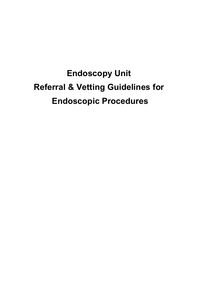# Endoscopy Unit Referral & Vetting Guidelines for Endoscopic Procedures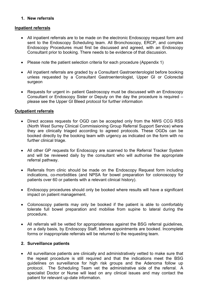#### 1. New referrals

#### Inpatient referrals

- All inpatient referrals are to be made on the electronic Endoscopy request form and sent to the Endoscopy Scheduling team. All Bronchoscopy, ERCP, and complex Endoscopy Procedures must first be discussed and agreed, with an Endoscopy Consultant prior to booking. There needs to be evidence of that discussion.
- Please note the patient selection criteria for each procedure (Appendix 1)
- All inpatient referrals are graded by a Consultant Gastroenterologist before booking unless requested by a Consultant Gastroenterologist, Upper GI or Colorectal surgeon
- Requests for urgent in- patient Gastroscopy must be discussed with an Endoscopy Consultant or Endoscopy Sister or Deputy on the day the procedure is required – please see the Upper GI Bleed protocol for further information

#### Outpatient referrals

- Direct access requests for OGD can be accepted only from the NWS CCG RSS (North West Surrey Clinical Commissioning Group Referral Support Service) where they are clinically triaged according to agreed protocols. These OGDs can be booked directly by the booking team with urgency as indicated on the form with no further clinical triage.
- All other GP requests for Endoscopy are scanned to the Referral Tracker System and will be reviewed daily by the consultant who will authorise the appropriate referral pathway.
- Referrals from clinic should be made on the Endoscopy Request form including indications, co-morbidities (and NPSA for bowel preparation for colonoscopy for patients over 60 or patients with a relevant clinical history).
- Endoscopy procedures should only be booked where results will have a significant impact on patient management.
- Colonoscopy patients may only be booked if the patient is able to comfortably tolerate full bowel preparation and mobilise from supine to lateral during the procedure.
- All referrals will be vetted for appropriateness against the BSG referral guidelines, on a daily basis, by Endoscopy Staff, before appointments are booked. Incomplete forms or inappropriate referrals will be returned to the requesting team.

#### 2. Surveillance patients

 All surveillance patients are clinically and administratively vetted to make sure that the repeat procedure is still required and that the indications meet the BSG guidelines on surveillance for high risk groups and the Adenoma follow up protocol. The Scheduling Team vet the administrative side of the referral. A specialist Doctor or Nurse will lead on any clinical issues and may contact the patient for relevant up-date information.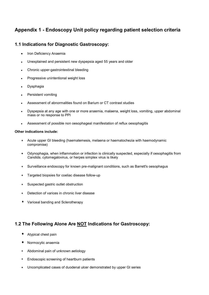# Appendix 1 - Endoscopy Unit policy regarding patient selection criteria

#### 1.1 Indications for Diagnostic Gastroscopy:

- Iron Deficiency Anaemia
- Unexplained and persistent new dyspepsia aged 55 years and older
- Chronic upper-gastrointestinal bleeding
- Progressive unintentional weight loss
- Dysphagia
- Persistent vomiting
- Assessment of abnormalities found on Barium or CT contrast studies
- Dyspepsia at any age with one or more anaemia, malaena, weight loss, vomiting, upper abdominal mass or no response to PPI
- Assessment of possible non oesophageal manifestation of reflux oesophagitis

#### Other indications include:

- Acute upper GI bleeding (haematemesis, melaena or haematochezia with haemodynamic compromise)
- Odynophagia, when inflammation or infection is clinically suspected, especially if oesophagitis from Candida, cytomegalovirus, or herpes simplex virus is likely
- Surveillance endoscopy for known pre-malignant conditions, such as Barrett's oesophagus
- Targeted biopsies for coeliac disease follow-up
- Suspected gastric outlet obstruction
- Detection of varices in chronic liver disease
- Variceal banding and Sclerotherapy

# 1.2 The Following Alone Are NOT Indications for Gastroscopy:

- **Atypical chest pain**
- **Normocytic anaemia**
- Abdominal pain of unknown aetiology
- **Endoscopic screening of heartburn patients**
- Uncomplicated cases of duodenal ulcer demonstrated by upper GI series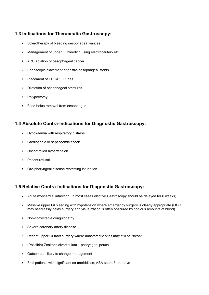# 1.3 Indications for Therapeutic Gastroscopy:

- Sclerotherapy of bleeding oesophageal varices
- Management of upper GI bleeding using electrocautery etc
- APC ablation of oesophageal cancer
- Endoscopic placement of gastro-oesophageal stents
- Placement of PEG/PEJ tubes
- Dilatation of oesophageal strictures
- Polypectomy
- **Food bolus removal from oesophagus**

#### 1.4 Absolute Contra-Indications for Diagnostic Gastroscopy:

- Hypoxaemia with respiratory distress
- **Cardiogenic or septicaemic shock**
- Uncontrolled hypertension
- Patient refusal
- Oro-pharyngeal disease restricting intubation

# 1.5 Relative Contra-Indications for Diagnostic Gastroscopy:

- Acute myocardial infarction (in most cases elective Gastroscopy should be delayed for 6 weeks)
- Massive upper GI bleeding with hypotension where emergency surgery is clearly appropriate (OGD may needlessly delay surgery and visualization is often obscured by copious amounts of blood).
- Non-correctable coagulopathy
- Severe coronary artery disease
- Recent upper GI tract surgery where anastomotic sites may still be "fresh"
- (Possible) Zenker's diverticulum pharyngeal pouch
- Outcome unlikely to change management
- **Frail patients with significant co-morbidities, ASA score 3 or above**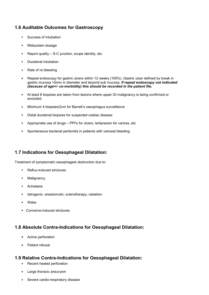# 1.6 Auditable Outcomes for Gastroscopy

- Success of intubation
- Midazolam dosage
- Report quality S-C junction, scope identity, etc
- Duodenal intubation
- Rate of re bleeding
- Repeat endoscopy for gastric ulcers within 12 weeks (100%). Gastric ulcer defined by break in gastric mucosa >5mm in diameter and beyond sub mucosa. If repeat endoscopy not indicated (because of age+/- co-morbidity) this should be recorded in the patient file.
- At least 8 biopsies are taken from lesions where upper GI malignancy is being confirmed or excluded
- Minimum 4 biopsies/2cm for Barrett's oesophagus surveillance
- Distal duodenal biopsies for suspected coeliac disease
- Appropriate use of drugs PPI's for ulcers, terlipressin for varices, etc
- Spontaneous bacterial peritonitis in patients with variceal bleeding

# 1.7 Indications for Oesophageal Dilatation:

Treatment of symptomatic oesophageal obstruction due to:

- Reflux-induced strictures
- Malignancy
- Achalasia
- Iatrogenic: anastomotic; sclerotherapy; radiation
- Webs
- Corrosive-induced strictures

# 1.8 Absolute Contra-Indications for Oesophageal Dilatation:

- **Active perforation**
- Patient refusal

#### 1.9 Relative Contra-Indications for Oesophageal Dilatation:

- Recent healed perforation
- **Large thoracic aneurysm**
- **Severe cardio-respiratory disease**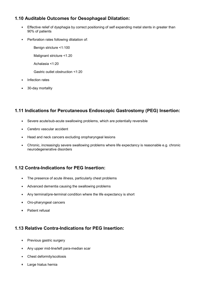# 1.10 Auditable Outcomes for Oesophageal Dilatation:

- Effective relief of dysphagia by correct positioning of self expanding metal stents in greater than 90% of patients
- **Perforation rates following dilatation of:**

Benign stricture <1:100

Malignant stricture <1.20

Achalasia <1:20

Gastric outlet obstruction <1:20

- Infection rates
- 30-day mortality

#### 1.11 Indications for Percutaneous Endoscopic Gastrostomy (PEG) Insertion:

- Severe acute/sub-acute swallowing problems, which are potentially reversible
- Cerebro vascular accident
- **Head and neck cancers excluding oropharyngeal lesions**
- Chronic, increasingly severe swallowing problems where life expectancy is reasonable e.g. chronic neurodegenerative disorders

#### 1.12 Contra-Indications for PEG Insertion:

- The presence of acute illness, particularly chest problems
- Advanced dementia causing the swallowing problems
- Any terminal/pre-terminal condition where the life expectancy is short
- Oro-pharyngeal cancers
- Patient refusal

# 1.13 Relative Contra-Indications for PEG Insertion:

- **Previous gastric surgery**
- Any upper mid-line/left para-median scar
- Chest deformity/scoliosis
- Large hiatus hernia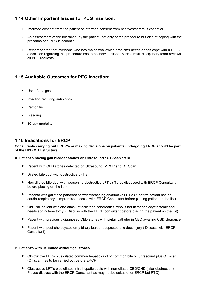# 1.14 Other Important Issues for PEG Insertion:

- Informed consent from the patient or informed consent from relatives/carers is essential.
- An assessment of the tolerance, by the patient, not only of the procedure but also of coping with the presence of a PEG is essential.
- Remember that not everyone who has major swallowing problems needs or can cope with a PEG a decision regarding this procedure has to be individualised. A PEG multi-disciplinary team reviews all PEG requests.

# 1.15 Auditable Outcomes for PEG Insertion:

- Use of analgesia
- Infection requiring antibiotics
- **Peritonitis**
- Bleeding
- 30-day mortality

#### 1.16 Indications for ERCP:

#### Consultants carrying out ERCP's or making decisions on patients undergoing ERCP should be part of the HPB MDT structure.

#### A. Patient s having gall bladder stones on Ultrasound / CT Scan / MRI

- **P** Patient with CBD stones detected on Ultrasound, MRCP and CT Scan.
- Dilated bile duct with obstructive LFT's
- Non-dilated bile duct with worsening obstructive LFT's ( To be discussed with ERCP Consultant before placing on the list)
- **P** Patients with gallstone pancreatitis with worsening obstructive LFT's ( Confirm patient has no cardio-respiratory compromise, discuss with ERCP Consultant before placing patient on the list)
- Old/Frail patient with one attack of gallstone pancreatitis, who is not fit for cholecystectomy and needs sphincterectomy. ( Discuss with the ERCP consultant before placing the patient on the list)
- Patient with previously diagnosed CBD stones with pigtail catheter in CBD awaiting CBD clearance.
- Patient with post cholecystectomy biliary leak or suspected bile duct injury ( Discuss with ERCP Consultant)

#### B. Patient's with Jaundice without gallstones

- Obstructive LFT's plus dilated common hepatic duct or common bile on ultrasound plus CT scan (CT scan has to be carried out before ERCP)
- Obstructive LFT's plus dilated intra hepatic ducts with non-dilated CBD/CHD (hilar obstruction). Please discuss with the ERCP Consultant as may not be suitable for ERCP but PTC)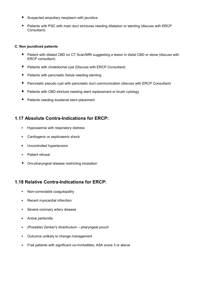- Suspected ampullary neoplasm with jaundice.
- Patients with PSC with main duct strictures needing dilatation or stenting (discuss with ERCP Consultant)

#### C. Non jaundiced patients

- Patient with dilated CBD on CT Scan/MRI suggesting a lesion in distal CBD or stone (discuss with ERCP consultant)
- **P** Patients with choledochal cyst (Discuss with ERCP Consultant)
- $\blacksquare$  . Patients with pancreatic fistula needing stenting
- $\bullet$  . Pancreatic pseudo cyst with pancreatic duct communication (discuss with ERCP Consultant)
- Patients with CBD stricture needing stent replacement or brush cytology
- Patients needing duodenal stent placement

# 1.17 Absolute Contra-Indications for ERCP:

- Hypoxaemia with respiratory distress
- **Cardiogenic or septicaemic shock**
- **Uncontrolled hypertension**
- Patient refusal
- Oro-pharyngeal disease restricting intubation

# 1.18 Relative Contra-Indications for ERCP:

- Non-correctable coagulopathy
- Recent myocardial infarction
- Severe coronary artery disease
- **Active peritonitis**
- (Possible) Zenker's diverticulum pharyngeal pouch
- Outcome unlikely to change management
- Frail patients with significant co-morbidities, ASA score 3 or above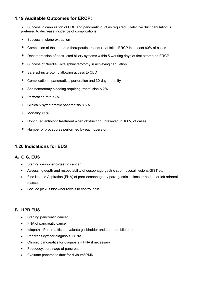# 1.19 Auditable Outcomes for ERCP:

 Success in cannulation of CBD and pancreatic duct as required. (Selective duct canulation is preferred to decrease incidence of complications

- $\bullet$  . Success in stone extraction
- Completion of the intended therapeutic procedure at initial ERCP in at least 80% of cases
- Decompression of obstructed biliary systems within 5 working days of first attempted ERCP
- Success of Needle Knife sphincterotomy in achieving canulation
- Safe sphincterotomy allowing access to CBD
- Complications: pancreatitis, perforation and 30-day mortality
- Sphincterotomy bleeding requiring transfusion < 2%
- **•** Perforation rate <2%
- Clinically symptomatic pancreatitis < 5%
- Mortality <1%
- Continued antibiotic treatment when obstruction unrelieved in 100% of cases
- Number of procedures performed by each operator

#### 1.20 Indications for EUS

#### A. O.G. EUS

- Staging oesophago-gastric cancer
- Assessing depth and respectability of oesophago gastric sub mucosal, lesions/GIST etc.
- Fine Needle Aspiration (FNA) of para-oesophageal / para-gastric lesions or nodes; or left adrenal masses.
- Coeliac plexus block/neurolysis to control pain

#### B. HPB EUS

- Staging pancreatic cancer
- FNA of pancreatic cancer
- Idiopathic Pancreatitis to evaluate gallbladder and common bile duct
- Pancreas cyst for diagnosis + FNA
- Chronic pancreatitis for diagnosis + FNA if necessary
- Psuedocyst drainage of pancreas
- Evaluate pancreatic duct for divisum/IPMN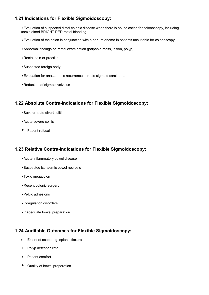# 1.21 Indications for Flexible Sigmoidoscopy:

 Evaluation of suspected distal colonic disease when there is no indication for colonoscopy, including unexplained BRIGHT RED rectal bleeding

- Evaluation of the colon in conjunction with a barium enema in patients unsuitable for colonoscopy
- Abnormal findings on rectal examination (palpable mass, lesion, polyp)
- Rectal pain or proctitis
- Suspected foreign body
- Evaluation for anastomotic recurrence in recto sigmoid carcinoma
- Reduction of sigmoid volvulus

#### 1.22 Absolute Contra-Indications for Flexible Sigmoidoscopy:

- Severe acute diverticulitis
- Acute severe colitis
- **Patient refusal**

# 1.23 Relative Contra-Indications for Flexible Sigmoidoscopy:

- Acute inflammatory bowel disease
- Suspected ischaemic bowel necrosis
- Toxic megacolon
- Recent colonic surgery
- Pelvic adhesions
- Coagulation disorders
- Inadequate bowel preparation

# 1.24 Auditable Outcomes for Flexible Sigmoidoscopy:

- Extent of scope e.g. splenic flexure
- Polyp detection rate
- Patient comfort
- **Quality of bowel preparation**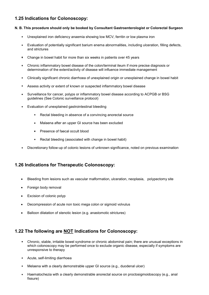# 1.25 Indications for Colonoscopy:

#### N. B. This procedure should only be booked by Consultant Gastroenterologist or Colorectal Surgeon

- Unexplained iron deficiency anaemia showing low MCV, ferritin or low plasma iron
- Evaluation of potentially significant barium enema abnormalities, including ulceration, filling defects, and strictures
- Change in bowel habit for more than six weeks in patients over 45 years
- Chronic inflammatory bowel disease of the colon/terminal ileum if more precise diagnosis or determination of the extent/activity of disease will influence immediate management
- Clinically significant chronic diarrhoea of unexplained origin or unexplained change in bowel habit
- Assess activity or extent of known or suspected inflammatory bowel disease
- Surveillance for cancer, polyps or inflammatory bowel disease according to ACPGB or BSG guidelines (See Colonic surveillance protocol)
- Evaluation of unexplained gastrointestinal bleeding
	- Rectal bleeding in absence of a convincing anorectal source
	- Malaena after an upper GI source has been excluded
	- **Presence of faecal occult blood**
	- Rectal bleeding (associated with change in bowel habit)
- Discretionary follow-up of colonic lesions of unknown significance, noted on previous examination

#### 1.26 Indications for Therapeutic Colonoscopy:

- Bleeding from lesions such as vascular malformation, ulceration, neoplasia, polypectomy site
- Foreign body removal
- Excision of colonic polyp
- Decompression of acute non toxic mega colon or sigmoid volvulus
- Balloon dilatation of stenotic lesion (e.g. anastomotic strictures)

#### 1.22 The following are NOT Indications for Colonoscopy:

- Chronic, stable, irritable bowel syndrome or chronic abdominal pain; there are unusual exceptions in which colonoscopy may be performed once to exclude organic disease, especially if symptoms are unresponsive to therapy
- Acute, self-limiting diarrhoea
- Melaena with a clearly demonstrable upper GI source (e.g., duodenal ulcer)
- Haematochezia with a clearly demonstrable anorectal source on proctosigmoidoscopy (e.g., anal fissure)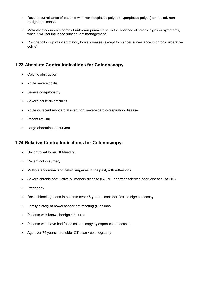- Routine surveillance of patients with non-neoplastic polyps (hyperplastic polyps) or healed, nonmalignant disease
- Metastatic adenocarcinoma of unknown primary site, in the absence of colonic signs or symptoms, when it will not influence subsequent management
- Routine follow up of inflammatory bowel disease (except for cancer surveillance in chronic ulcerative colitis)

#### 1.23 Absolute Contra-Indications for Colonoscopy:

- Colonic obstruction
- Acute severe colitis
- Severe coagulopathy
- Severe acute diverticulitis
- Acute or recent myocardial infarction, severe cardio-respiratory disease
- Patient refusal
- Large abdominal aneurysm

#### 1.24 Relative Contra-Indications for Colonoscopy:

- Uncontrolled lower GI bleeding
- Recent colon surgery
- Multiple abdominal and pelvic surgeries in the past, with adhesions
- Severe chronic obstructive pulmonary disease (COPD) or arteriosclerotic heart disease (ASHD)
- Pregnancy
- Rectal bleeding alone in patients over 45 years consider flexible sigmoidoscopy
- Family history of bowel cancer not meeting guidelines
- **Patients with known benign strictures**
- Patients who have had failed colonoscopy by expert colonoscopist
- Age over 75 years consider CT scan / colonography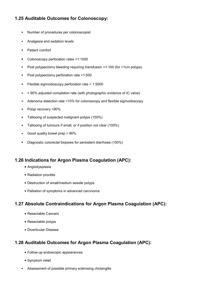# 1.25 Auditable Outcomes for Colonoscopy:

- Number of procedures per colonoscopist
- Analgesia and sedation levels
- Patient comfort
- Colonoscopy perforation rates <1:1000
- Post polypectomy bleeding requiring transfusion <1:100 (for >1cm polyps)
- Post polypectomy perforation rate <1:500
- Flexible sigmoidoscopy perforation rate < 1:5000
- > 90% adjusted completion rate (with photographic evidence of IC valve)
- Adenoma detection rate >10% for colonoscopy and flexible sigmoidoscopy
- Polyp recovery >90%
- Tattooing of suspected malignant polyps (100%)
- **Tattooing of tumours if small, or if position not clear (100%)**
- Good quality bowel prep > 90%
- Diagnostic colorectal biopsies for persistent diarrhoea (100%)

#### 1.26 Indications for Argon Plasma Coagulation (APC):

- Angiodysplasia
- Radiation proctitis
- Destruction of small/medium sessile polyps
- Palliation of symptoms in advanced carcinoma

#### 1.27 Absolute Contraindications for Argon Plasma Coagulation (APC):

- Resectable Cancers
- Resectable polyps
- Diverticular Disease

# 1.28 Auditable Outcomes for Argon Plasma Coagulation (APC):

- Follow-up endoscopic appearances
- Symptom relief
- Assessment of possible primary sclerosing cholangitis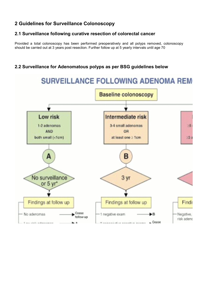# 2 Guidelines for Surveillance Colonoscopy

# 2.1 Surveillance following curative resection of colorectal cancer

Provided a total colonoscopy has been performed preoperatively and all polyps removed, colonoscopy should be carried out at 3 years post resection. Further follow up at 5 yearly intervals until age 70

# 2.2 Surveillance for Adenomatous polyps as per BSG guidelines below